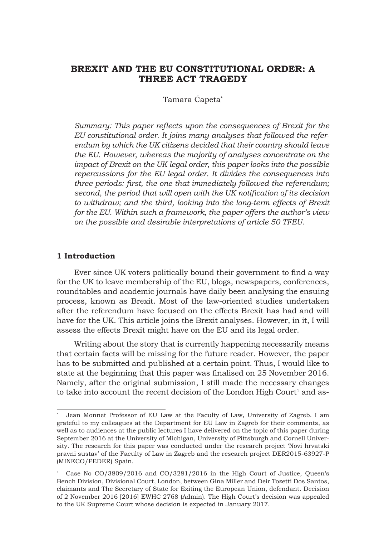# **BREXIT AND THE EU CONSTITUTIONAL ORDER: A THREE ACT TRAGEDY**

Tamara Ćapeta**\***

*Summary: This paper reflects upon the consequences of Brexit for the EU constitutional order. It joins many analyses that followed the referendum by which the UK citizens decided that their country should leave the EU. However, whereas the majority of analyses concentrate on the impact of Brexit on the UK legal order, this paper looks into the possible repercussions for the EU legal order. It divides the consequences into three periods: first, the one that immediately followed the referendum; second, the period that will open with the UK notification of its decision to withdraw; and the third, looking into the long-term effects of Brexit for the EU. Within such a framework, the paper offers the author's view on the possible and desirable interpretations of article 50 TFEU.*

### **1 Introduction**

Ever since UK voters politically bound their government to find a way for the UK to leave membership of the EU, blogs, newspapers, conferences, roundtables and academic journals have daily been analysing the ensuing process, known as Brexit. Most of the law-oriented studies undertaken after the referendum have focused on the effects Brexit has had and will have for the UK. This article joins the Brexit analyses. However, in it, I will assess the effects Brexit might have on the EU and its legal order.

Writing about the story that is currently happening necessarily means that certain facts will be missing for the future reader. However, the paper has to be submitted and published at a certain point. Thus, I would like to state at the beginning that this paper was finalised on 25 November 2016. Namely, after the original submission, I still made the necessary changes to take into account the recent decision of the London High Court<sup>1</sup> and as-

Jean Monnet Professor of EU Law at the Faculty of Law, University of Zagreb. I am grateful to my colleagues at the Department for EU Law in Zagreb for their comments, as well as to audiences at the public lectures I have delivered on the topic of this paper during September 2016 at the University of Michigan, University of Pittsburgh and Cornell University. The research for this paper was conducted under the research project 'Novi hrvatski pravni sustav' of the Faculty of Law in Zagreb and the research project DER2015-63927-P (MINECO/FEDER) Spain.

Case No CO/3809/2016 and CO/3281/2016 in the High Court of Justice, Queen's Bench Division, Divisional Court, London, between Gina Miller and Deir Tozetti Dos Santos, claimants and The Secretary of State for Exiting the European Union, defendant. Decision of 2 November 2016 [2016] EWHC 2768 (Admin). The High Court's decision was appealed to the UK Supreme Court whose decision is expected in January 2017.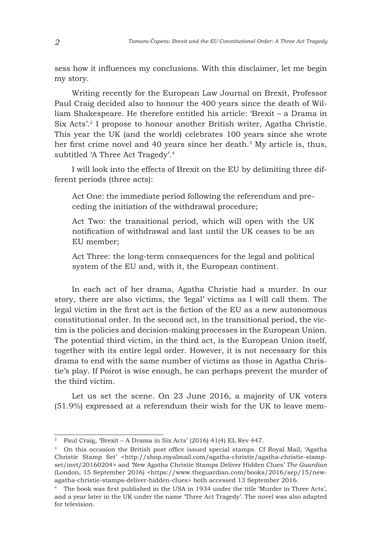sess how it influences my conclusions. With this disclaimer, let me begin my story.

Writing recently for the European Law Journal on Brexit, Professor Paul Craig decided also to honour the 400 years since the death of William Shakespeare. He therefore entitled his article: 'Brexit – a Drama in Six Acts'.2 I propose to honour another British writer, Agatha Christie. This year the UK (and the world) celebrates 100 years since she wrote her first crime novel and 40 years since her death.3 My article is, thus, subtitled 'A Three Act Tragedy'.4

I will look into the effects of Brexit on the EU by delimiting three different periods (three acts):

Act One: the immediate period following the referendum and preceding the initiation of the withdrawal procedure;

Act Two: the transitional period, which will open with the UK notification of withdrawal and last until the UK ceases to be an EU member;

Act Three: the long-term consequences for the legal and political system of the EU and, with it, the European continent.

In each act of her drama, Agatha Christie had a murder. In our story, there are also victims, the 'legal' victims as I will call them. The legal victim in the first act is the fiction of the EU as a new autonomous constitutional order. In the second act, in the transitional period, the victim is the policies and decision-making processes in the European Union. The potential third victim, in the third act, is the European Union itself, together with its entire legal order. However, it is not necessary for this drama to end with the same number of victims as those in Agatha Christie's play. If Poirot is wise enough, he can perhaps prevent the murder of the third victim.

Let us set the scene. On 23 June 2016, a majority of UK voters (51.9%) expressed at a referendum their wish for the UK to leave mem-

<sup>&</sup>lt;sup>2</sup> Paul Craig, 'Brexit – A Drama in Six Acts' (2016) 41(4) EL Rev 447.

<sup>3</sup> On this occasion the British post office issued special stamps. Cf Royal Mail, 'Agatha Christie Stamp Set' <http://shop.royalmail.com/agatha-christie/agatha-christie-stampset/invt/20160204> and 'New Agatha Christie Stamps Deliver Hidden Clues' *The Guardian*  $(London, 15 September 2016)$  <https://www.theguardian.com/books/2016/sep/15/newagatha-christie-stamps-deliver-hidden-clues> both accessed 13 September 2016.

<sup>4</sup> The book was first published in the USA in 1934 under the title 'Murder in Three Acts', and a year later in the UK under the name 'Three Act Tragedy'. The novel was also adapted for television.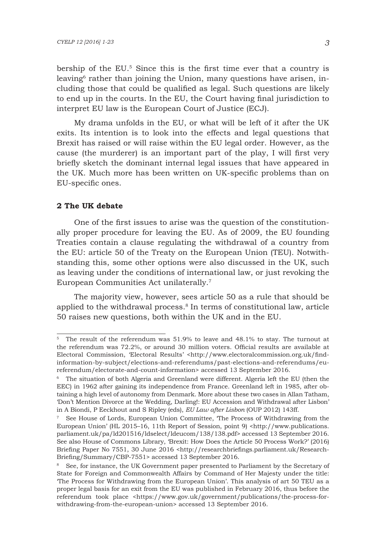bership of the EU.5 Since this is the first time ever that a country is leaving6 rather than joining the Union, many questions have arisen, including those that could be qualified as legal. Such questions are likely to end up in the courts. In the EU, the Court having final jurisdiction to interpret EU law is the European Court of Justice (ECJ).

My drama unfolds in the EU, or what will be left of it after the UK exits. Its intention is to look into the effects and legal questions that Brexit has raised or will raise within the EU legal order. However, as the cause (the murderer) is an important part of the play, I will first very briefly sketch the dominant internal legal issues that have appeared in the UK. Much more has been written on UK-specific problems than on EU-specific ones.

#### **2 The UK debate**

One of the first issues to arise was the question of the constitutionally proper procedure for leaving the EU. As of 2009, the EU founding Treaties contain a clause regulating the withdrawal of a country from the EU: article 50 of the Treaty on the European Union (TEU). Notwithstanding this, some other options were also discussed in the UK, such as leaving under the conditions of international law, or just revoking the European Communities Act unilaterally.7

The majority view, however, sees article 50 as a rule that should be applied to the withdrawal process.8 In terms of constitutional law, article 50 raises new questions, both within the UK and in the EU.

<sup>5</sup> The result of the referendum was 51.9% to leave and 48.1% to stay. The turnout at the referendum was 72.2%, or around 30 million voters. Official results are available at Electoral Commission, 'Electoral Results' <http://www.electoralcommission.org.uk/findinformation-by-subject/elections-and-referendums/past-elections-and-referendums/eureferendum/electorate-and-count-information> accessed 13 September 2016.

<sup>6</sup> The situation of both Algeria and Greenland were different. Algeria left the EU (then the EEC) in 1962 after gaining its independence from France. Greenland left in 1985, after obtaining a high level of autonomy from Denmark. More about these two cases in Allan Tatham, 'Don't Mention Divorce at the Wedding, Darling!: EU Accession and Withdrawal after Lisbon' in A Biondi, P Eeckhout and S Ripley (eds), *EU Law after Lisbon* (OUP 2012) 143ff.

<sup>7</sup> See House of Lords, European Union Committee, 'The Process of Withdrawing from the European Union' (HL 2015–16, 11th Report of Session, point 9) <http://www.publications. parliament.uk/pa/ld201516/ldselect/ldeucom/138/138.pdf> accessed 13 September 2016. See also House of Commons Library, 'Brexit: How Does the Article 50 Process Work?' (2016) Briefing Paper No 7551, 30 June 2016 <http://researchbriefings.parliament.uk/Research-Briefing/Summary/CBP-7551> accessed 13 September 2016.

<sup>&</sup>lt;sup>8</sup> See, for instance, the UK Government paper presented to Parliament by the Secretary of State for Foreign and Commonwealth Affairs by Command of Her Majesty under the title: 'The Process for Withdrawing from the European Union'. This analysis of art 50 TEU as a proper legal basis for an exit from the EU was published in February 2016, thus before the referendum took place <https://www.gov.uk/government/publications/the-process-forwithdrawing-from-the-european-union> accessed 13 September 2016.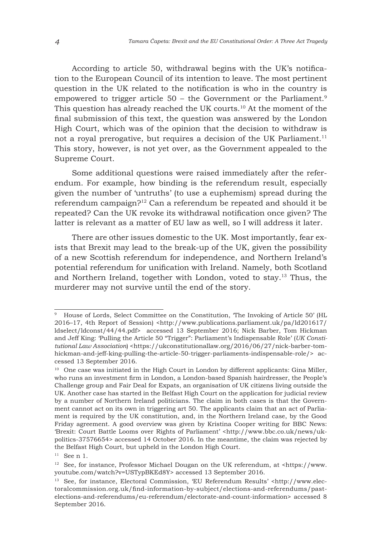According to article 50, withdrawal begins with the UK's notification to the European Council of its intention to leave. The most pertinent question in the UK related to the notification is who in the country is empowered to trigger article 50 – the Government or the Parliament.<sup>9</sup> This question has already reached the UK courts.10 At the moment of the final submission of this text, the question was answered by the London High Court, which was of the opinion that the decision to withdraw is not a royal prerogative, but requires a decision of the UK Parliament.<sup>11</sup> This story, however, is not yet over, as the Government appealed to the Supreme Court.

Some additional questions were raised immediately after the referendum. For example, how binding is the referendum result, especially given the number of 'untruths' (to use a euphemism) spread during the referendum campaign?12 Can a referendum be repeated and should it be repeated? Can the UK revoke its withdrawal notification once given? The latter is relevant as a matter of EU law as well, so I will address it later.

There are other issues domestic to the UK. Most importantly, fear exists that Brexit may lead to the break-up of the UK, given the possibility of a new Scottish referendum for independence, and Northern Ireland's potential referendum for unification with Ireland. Namely, both Scotland and Northern Ireland, together with London, voted to stay.13 Thus, the murderer may not survive until the end of the story.

<sup>9</sup> House of Lords, Select Committee on the Constitution, 'The Invoking of Article 50' (HL 2016–17, 4th Report of Session) <http://www.publications.parliament.uk/pa/ld201617/ ldselect/ldconst/44/44.pdf> accessed 13 September 2016; Nick Barber, Tom Hickman and Jeff King: 'Pulling the Article 50 "Trigger": Parliament's Indispensable Role' (*UK Constitutional Law Association*) <https://ukconstitutionallaw.org/2016/06/27/nick-barber-tomhickman-and-jeff-king-pulling-the-article-50-trigger-parliaments-indispensable-role/> accessed 13 September 2016.

<sup>&</sup>lt;sup>10</sup> One case was initiated in the High Court in London by different applicants: Gina Miller, who runs an investment firm in London, a London-based Spanish hairdresser, the People's Challenge group and Fair Deal for Expats, an organisation of UK citizens living outside the UK. Another case has started in the Belfast High Court on the application for judicial review by a number of Northern Ireland politicians. The claim in both cases is that the Government cannot act on its own in triggering art 50. The applicants claim that an act of Parliament is required by the UK constitution, and, in the Northern Ireland case, by the Good Friday agreement. A good overview was given by Kristina Cooper writing for BBC News: 'Brexit: Court Battle Looms over Rights of Parliament' <http://www.bbc.co.uk/news/ukpolitics-37576654> accessed 14 October 2016. In the meantime, the claim was rejected by the Belfast High Court, but upheld in the London High Court.

 $11$  See n 1.

<sup>&</sup>lt;sup>12</sup> See, for instance, Professor Michael Dougan on the UK referendum, at  $\langle$ https://www. youtube.com/watch?v=USTypBKEd8Y> accessed 13 September 2016.

<sup>13</sup> See, for instance, Electoral Commission, 'EU Referendum Results' <http://www.electoralcommission.org.uk/find-information-by-subject/elections-and-referendums/pastelections-and-referendums/eu-referendum/electorate-and-count-information> accessed 8 September 2016.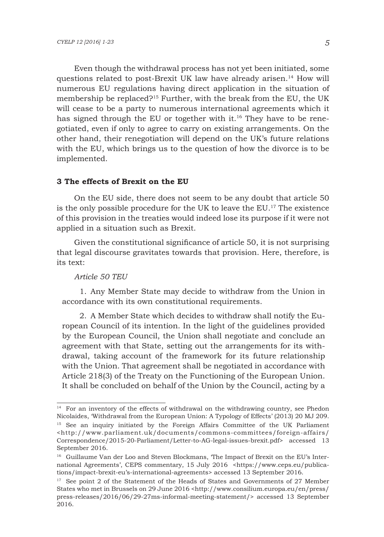Even though the withdrawal process has not yet been initiated, some questions related to post-Brexit UK law have already arisen.14 How will numerous EU regulations having direct application in the situation of membership be replaced?15 Further, with the break from the EU, the UK will cease to be a party to numerous international agreements which it has signed through the EU or together with it.<sup>16</sup> They have to be renegotiated, even if only to agree to carry on existing arrangements. On the other hand, their renegotiation will depend on the UK's future relations with the EU, which brings us to the question of how the divorce is to be implemented.

### **3 The effects of Brexit on the EU**

On the EU side, there does not seem to be any doubt that article 50 is the only possible procedure for the UK to leave the EU.17 The existence of this provision in the treaties would indeed lose its purpose if it were not applied in a situation such as Brexit.

Given the constitutional significance of article 50, it is not surprising that legal discourse gravitates towards that provision. Here, therefore, is its text:

### *Article 50 TEU*

1. Any Member State may decide to withdraw from the Union in accordance with its own constitutional requirements.

2. A Member State which decides to withdraw shall notify the European Council of its intention. In the light of the guidelines provided by the European Council, the Union shall negotiate and conclude an agreement with that State, setting out the arrangements for its withdrawal, taking account of the framework for its future relationship with the Union. That agreement shall be negotiated in accordance with Article 218(3) of the Treaty on the Functioning of the European Union. It shall be concluded on behalf of the Union by the Council, acting by a

<sup>&</sup>lt;sup>14</sup> For an inventory of the effects of withdrawal on the withdrawing country, see Phedon Nicolaides, 'Withdrawal from the European Union: A Typology of Effects' (2013) 20 MJ 209. <sup>15</sup> See an inquiry initiated by the Foreign Affairs Committee of the UK Parliament <http://www.parliament.uk/documents/commons-committees/foreign-affairs/ Correspondence/2015-20-Parliament/Letter-to-AG-legal-issues-brexit.pdf> accessed 13 September 2016.

<sup>&</sup>lt;sup>16</sup> Guillaume Van der Loo and Steven Blockmans, 'The Impact of Brexit on the EU's International Agreements', CEPS commentary, 15 July 2016 <https://www.ceps.eu/publications/impact-brexit-eu's-international-agreements> accessed 13 September 2016.

<sup>&</sup>lt;sup>17</sup> See point 2 of the Statement of the Heads of States and Governments of 27 Member States who met in Brussels on 29 June 2016 <http://www.consilium.europa.eu/en/press/ press-releases/2016/06/29-27ms-informal-meeting-statement/> accessed 13 September 2016.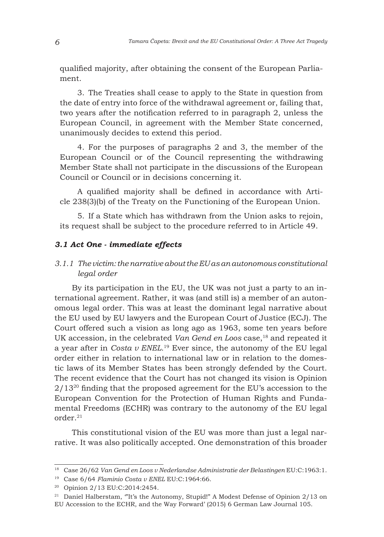qualified majority, after obtaining the consent of the European Parliament.

3. The Treaties shall cease to apply to the State in question from the date of entry into force of the withdrawal agreement or, failing that, two years after the notification referred to in paragraph 2, unless the European Council, in agreement with the Member State concerned, unanimously decides to extend this period.

4. For the purposes of paragraphs 2 and 3, the member of the European Council or of the Council representing the withdrawing Member State shall not participate in the discussions of the European Council or Council or in decisions concerning it.

A qualified majority shall be defined in accordance with Article 238(3)(b) of the Treaty on the Functioning of the European Union.

5. If a State which has withdrawn from the Union asks to rejoin, its request shall be subject to the procedure referred to in Article 49.

### *3.1 Act One - immediate effects*

# *3.1.1 The victim: the narrative about the EU as an autonomous constitutional legal order*

By its participation in the EU, the UK was not just a party to an international agreement. Rather, it was (and still is) a member of an autonomous legal order. This was at least the dominant legal narrative about the EU used by EU lawyers and the European Court of Justice (ECJ). The Court offered such a vision as long ago as 1963, some ten years before UK accession, in the celebrated *Van Gend en Loos* case,<sup>18</sup> and repeated it a year after in *Costa v ENEL.*<sup>19</sup> Ever since, the autonomy of the EU legal order either in relation to international law or in relation to the domestic laws of its Member States has been strongly defended by the Court. The recent evidence that the Court has not changed its vision is Opinion  $2/13^{20}$  finding that the proposed agreement for the EU's accession to the European Convention for the Protection of Human Rights and Fundamental Freedoms (ECHR) was contrary to the autonomy of the EU legal order<sup>21</sup>

This constitutional vision of the EU was more than just a legal narrative. It was also politically accepted. One demonstration of this broader

<sup>18</sup> Case 26/62 *Van Gend en Loos v Nederlandse Administratie der Belastingen* EU:C:1963:1.

<sup>19</sup> Case 6/64 *Flaminio Costa v ENEL* EU:C:1964:66.

<sup>20</sup> Opinion 2/13 EU:C:2014:2454.

<sup>&</sup>lt;sup>21</sup> Daniel Halberstam, "It's the Autonomy, Stupid!" A Modest Defense of Opinion 2/13 on EU Accession to the ECHR, and the Way Forward' (2015) 6 German Law Journal 105.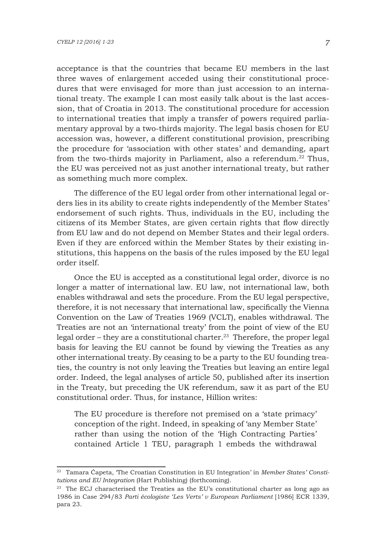acceptance is that the countries that became EU members in the last three waves of enlargement acceded using their constitutional procedures that were envisaged for more than just accession to an international treaty. The example I can most easily talk about is the last accession, that of Croatia in 2013. The constitutional procedure for accession to international treaties that imply a transfer of powers required parliamentary approval by a two-thirds majority. The legal basis chosen for EU accession was, however, a different constitutional provision, prescribing the procedure for 'association with other states' and demanding, apart from the two-thirds majority in Parliament, also a referendum.<sup>22</sup> Thus, the EU was perceived not as just another international treaty, but rather as something much more complex.

The difference of the EU legal order from other international legal orders lies in its ability to create rights independently of the Member States' endorsement of such rights. Thus, individuals in the EU, including the citizens of its Member States, are given certain rights that flow directly from EU law and do not depend on Member States and their legal orders. Even if they are enforced within the Member States by their existing institutions, this happens on the basis of the rules imposed by the EU legal order itself.

Once the EU is accepted as a constitutional legal order, divorce is no longer a matter of international law. EU law, not international law, both enables withdrawal and sets the procedure. From the EU legal perspective, therefore, it is not necessary that international law, specifically the Vienna Convention on the Law of Treaties 1969 (VCLT), enables withdrawal. The Treaties are not an 'international treaty' from the point of view of the EU legal order – they are a constitutional charter.<sup>23</sup> Therefore, the proper legal basis for leaving the EU cannot be found by viewing the Treaties as any other international treaty.By ceasing to be a party to the EU founding treaties, the country is not only leaving the Treaties but leaving an entire legal order. Indeed, the legal analyses of article 50, published after its insertion in the Treaty, but preceding the UK referendum, saw it as part of the EU constitutional order. Thus, for instance, Hillion writes:

The EU procedure is therefore not premised on a 'state primacy' conception of the right. Indeed, in speaking of 'any Member State' rather than using the notion of the 'High Contracting Parties' contained Article 1 TEU, paragraph 1 embeds the withdrawal

<sup>22</sup> Tamara Ćapeta, 'The Croatian Constitution in EU Integration' in *Member States' Constitutions and EU Integration* (Hart Publishing) (forthcoming).

<sup>&</sup>lt;sup>23</sup> The ECJ characterised the Treaties as the EU's constitutional charter as long ago as 1986 in Case 294/83 *Parti écologiste 'Les Verts' v European Parliament* [1986] ECR 1339, para 23.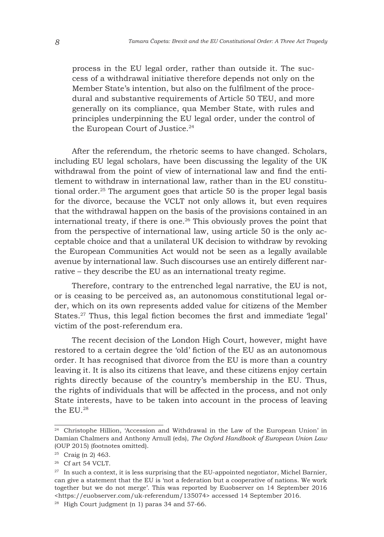process in the EU legal order, rather than outside it. The success of a withdrawal initiative therefore depends not only on the Member State's intention, but also on the fulfilment of the procedural and substantive requirements of Article 50 TEU, and more generally on its compliance, qua Member State, with rules and principles underpinning the EU legal order, under the control of the European Court of Justice.<sup>24</sup>

After the referendum, the rhetoric seems to have changed. Scholars, including EU legal scholars, have been discussing the legality of the UK withdrawal from the point of view of international law and find the entitlement to withdraw in international law, rather than in the EU constitutional order.25 The argument goes that article 50 is the proper legal basis for the divorce, because the VCLT not only allows it, but even requires that the withdrawal happen on the basis of the provisions contained in an international treaty, if there is one.<sup>26</sup> This obviously proves the point that from the perspective of international law, using article 50 is the only acceptable choice and that a unilateral UK decision to withdraw by revoking the European Communities Act would not be seen as a legally available avenue by international law. Such discourses use an entirely different narrative – they describe the EU as an international treaty regime.

Therefore, contrary to the entrenched legal narrative, the EU is not, or is ceasing to be perceived as, an autonomous constitutional legal order, which on its own represents added value for citizens of the Member States.<sup>27</sup> Thus, this legal fiction becomes the first and immediate 'legal' victim of the post-referendum era.

The recent decision of the London High Court, however, might have restored to a certain degree the 'old' fiction of the EU as an autonomous order. It has recognised that divorce from the EU is more than a country leaving it. It is also its citizens that leave, and these citizens enjoy certain rights directly because of the country's membership in the EU. Thus, the rights of individuals that will be affected in the process, and not only State interests, have to be taken into account in the process of leaving the EU.28

<sup>28</sup> High Court judgment (n 1) paras 34 and 57-66.

<sup>&</sup>lt;sup>24</sup> Christophe Hillion, 'Accession and Withdrawal in the Law of the European Union' in Damian Chalmers and Anthony Arnull (eds), *The Oxford Handbook of European Union Law* (OUP 2015) (footnotes omitted).

<sup>25</sup> Craig (n 2) 463.

<sup>&</sup>lt;sup>26</sup> Cf art 54 VCLT.

 $27$  In such a context, it is less surprising that the EU-appointed negotiator, Michel Barnier, can give a statement that the EU is 'not a federation but a cooperative of nations. We work together but we do not merge'. This was reported by Euobserver on 14 September 2016 <https://euobserver.com/uk-referendum/135074> accessed 14 September 2016.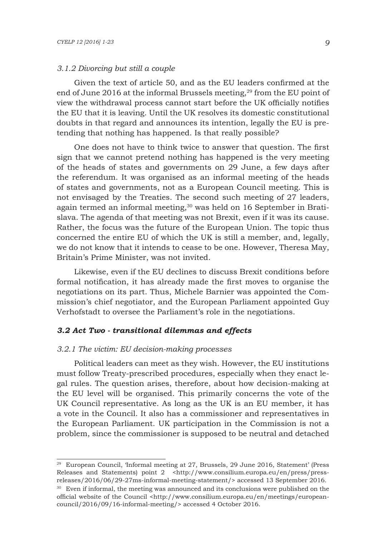### *3.1.2 Divorcing but still a couple*

Given the text of article 50, and as the EU leaders confirmed at the end of June 2016 at the informal Brussels meeting,<sup>29</sup> from the EU point of view the withdrawal process cannot start before the UK officially notifies the EU that it is leaving. Until the UK resolves its domestic constitutional doubts in that regard and announces its intention, legally the EU is pretending that nothing has happened. Is that really possible?

One does not have to think twice to answer that question. The first sign that we cannot pretend nothing has happened is the very meeting of the heads of states and governments on 29 June, a few days after the referendum. It was organised as an informal meeting of the heads of states and governments, not as a European Council meeting. This is not envisaged by the Treaties. The second such meeting of 27 leaders, again termed an informal meeting,<sup>30</sup> was held on 16 September in Bratislava. The agenda of that meeting was not Brexit, even if it was its cause. Rather, the focus was the future of the European Union. The topic thus concerned the entire EU of which the UK is still a member, and, legally, we do not know that it intends to cease to be one. However, Theresa May, Britain's Prime Minister, was not invited.

Likewise, even if the EU declines to discuss Brexit conditions before formal notification, it has already made the first moves to organise the negotiations on its part. Thus, Michele Barnier was appointed the Commission's chief negotiator, and the European Parliament appointed Guy Verhofstadt to oversee the Parliament's role in the negotiations.

#### *3.2 Act Two - transitional dilemmas and effects*

#### *3.2.1 The victim: EU decision-making processes*

Political leaders can meet as they wish. However, the EU institutions must follow Treaty-prescribed procedures, especially when they enact legal rules. The question arises, therefore, about how decision-making at the EU level will be organised. This primarily concerns the vote of the UK Council representative. As long as the UK is an EU member, it has a vote in the Council. It also has a commissioner and representatives in the European Parliament. UK participation in the Commission is not a problem, since the commissioner is supposed to be neutral and detached

<sup>29</sup> European Council, 'Informal meeting at 27, Brussels, 29 June 2016, Statement' (Press Releases and Statements) point 2 <http://www.consilium.europa.eu/en/press/pressreleases/2016/06/29-27ms-informal-meeting-statement/> accessed 13 September 2016.

<sup>&</sup>lt;sup>30</sup> Even if informal, the meeting was announced and its conclusions were published on the official website of the Council <http://www.consilium.europa.eu/en/meetings/europeancouncil/2016/09/16-informal-meeting/> accessed 4 October 2016.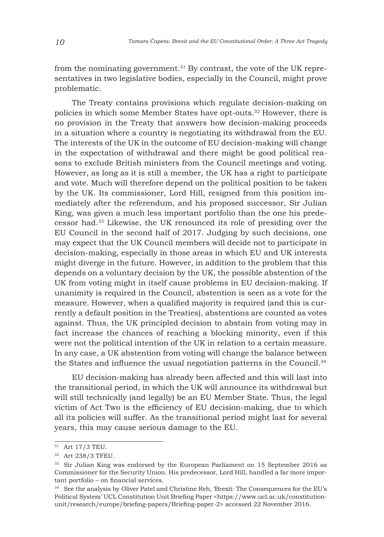from the nominating government.<sup>31</sup> By contrast, the vote of the UK representatives in two legislative bodies, especially in the Council, might prove problematic.

The Treaty contains provisions which regulate decision-making on policies in which some Member States have opt-outs.32 However, there is no provision in the Treaty that answers how decision-making proceeds in a situation where a country is negotiating its withdrawal from the EU. The interests of the UK in the outcome of EU decision-making will change in the expectation of withdrawal and there might be good political reasons to exclude British ministers from the Council meetings and voting. However, as long as it is still a member, the UK has a right to participate and vote. Much will therefore depend on the political position to be taken by the UK. Its commissioner, Lord Hill, resigned from this position immediately after the referendum, and his proposed successor, Sir Julian King, was given a much less important portfolio than the one his predecessor had.33 Likewise, the UK renounced its role of presiding over the EU Council in the second half of 2017. Judging by such decisions, one may expect that the UK Council members will decide not to participate in decision-making, especially in those areas in which EU and UK interests might diverge in the future. However, in addition to the problem that this depends on a voluntary decision by the UK, the possible abstention of the UK from voting might in itself cause problems in EU decision-making. If unanimity is required in the Council, abstention is seen as a vote for the measure. However, when a qualified majority is required (and this is currently a default position in the Treaties), abstentions are counted as votes against. Thus, the UK principled decision to abstain from voting may in fact increase the chances of reaching a blocking minority, even if this were not the political intention of the UK in relation to a certain measure. In any case, a UK abstention from voting will change the balance between the States and influence the usual negotiation patterns in the Council.<sup>34</sup>

EU decision-making has already been affected and this will last into the transitional period, in which the UK will announce its withdrawal but will still technically (and legally) be an EU Member State. Thus, the legal victim of Act Two is the efficiency of EU decision-making, due to which all its policies will suffer. As the transitional period might last for several years, this may cause serious damage to the EU.

<sup>&</sup>lt;sup>31</sup> Art 17/3 TEU.

<sup>32</sup> Art 238/3 TFEU.

<sup>&</sup>lt;sup>33</sup> Sir Julian King was endorsed by the European Parliament on 15 September 2016 as Commissioner for the Security Union. His predecessor, Lord Hill, handled a far more important portfolio – on financial services.

 $34$  See the analysis by Oliver Patel and Christine Reh, 'Brexit: The Consequences for the EU's Political System' UCL Constitution Unit Briefing Paper <https://www.ucl.ac.uk/constitutionunit/research/europe/briefing-papers/Briefing-paper-2> accessed 22 November 2016.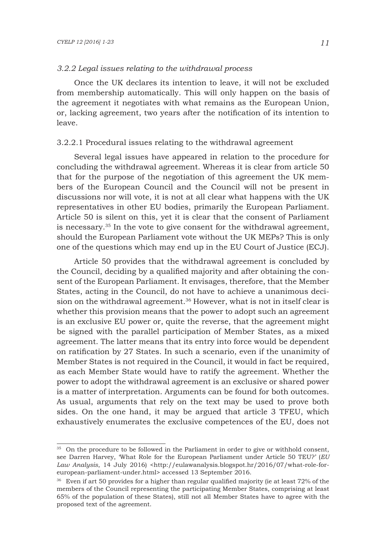#### *3.2.2 Legal issues relating to the withdrawal process*

Once the UK declares its intention to leave, it will not be excluded from membership automatically. This will only happen on the basis of the agreement it negotiates with what remains as the European Union, or, lacking agreement, two years after the notification of its intention to leave.

## 3.2.2.1 Procedural issues relating to the withdrawal agreement

Several legal issues have appeared in relation to the procedure for concluding the withdrawal agreement. Whereas it is clear from article 50 that for the purpose of the negotiation of this agreement the UK members of the European Council and the Council will not be present in discussions nor will vote, it is not at all clear what happens with the UK representatives in other EU bodies, primarily the European Parliament. Article 50 is silent on this, yet it is clear that the consent of Parliament is necessary.35 In the vote to give consent for the withdrawal agreement, should the European Parliament vote without the UK MEPs? This is only one of the questions which may end up in the EU Court of Justice (ECJ).

Article 50 provides that the withdrawal agreement is concluded by the Council, deciding by a qualified majority and after obtaining the consent of the European Parliament. It envisages, therefore, that the Member States, acting in the Council, do not have to achieve a unanimous decision on the withdrawal agreement.<sup>36</sup> However, what is not in itself clear is whether this provision means that the power to adopt such an agreement is an exclusive EU power or, quite the reverse, that the agreement might be signed with the parallel participation of Member States, as a mixed agreement. The latter means that its entry into force would be dependent on ratification by 27 States. In such a scenario, even if the unanimity of Member States is not required in the Council, it would in fact be required, as each Member State would have to ratify the agreement. Whether the power to adopt the withdrawal agreement is an exclusive or shared power is a matter of interpretation. Arguments can be found for both outcomes. As usual, arguments that rely on the text may be used to prove both sides. On the one hand, it may be argued that article 3 TFEU, which exhaustively enumerates the exclusive competences of the EU, does not

<sup>&</sup>lt;sup>35</sup> On the procedure to be followed in the Parliament in order to give or withhold consent, see Darren Harvey, 'What Role for the European Parliament under Article 50 TEU?' (*EU*  Law Analysis, 14 July 2016) <http://eulawanalysis.blogspot.hr/2016/07/what-role-foreuropean-parliament-under.html> accessed 13 September 2016.

 $36$  Even if art 50 provides for a higher than regular qualified majority (ie at least  $72\%$  of the members of the Council representing the participating Member States, comprising at least 65% of the population of these States), still not all Member States have to agree with the proposed text of the agreement.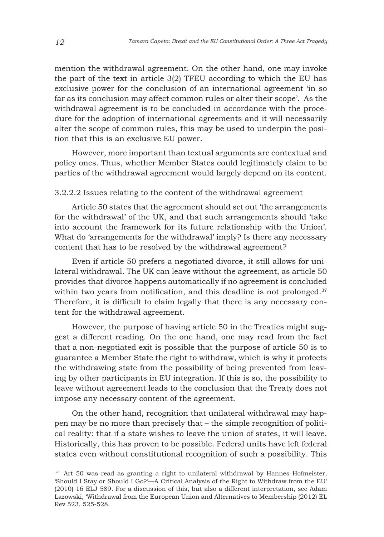mention the withdrawal agreement. On the other hand, one may invoke the part of the text in article 3(2) TFEU according to which the EU has exclusive power for the conclusion of an international agreement 'in so far as its conclusion may affect common rules or alter their scope'. As the withdrawal agreement is to be concluded in accordance with the procedure for the adoption of international agreements and it will necessarily alter the scope of common rules, this may be used to underpin the position that this is an exclusive EU power.

However, more important than textual arguments are contextual and policy ones. Thus, whether Member States could legitimately claim to be parties of the withdrawal agreement would largely depend on its content.

## 3.2.2.2 Issues relating to the content of the withdrawal agreement

Article 50 states that the agreement should set out 'the arrangements for the withdrawal' of the UK, and that such arrangements should 'take into account the framework for its future relationship with the Union'. What do 'arrangements for the withdrawal' imply? Is there any necessary content that has to be resolved by the withdrawal agreement?

Even if article 50 prefers a negotiated divorce, it still allows for unilateral withdrawal. The UK can leave without the agreement, as article 50 provides that divorce happens automatically if no agreement is concluded within two years from notification, and this deadline is not prolonged.<sup>37</sup> Therefore, it is difficult to claim legally that there is any necessary content for the withdrawal agreement.

However, the purpose of having article 50 in the Treaties might suggest a different reading. On the one hand, one may read from the fact that a non-negotiated exit is possible that the purpose of article 50 is to guarantee a Member State the right to withdraw, which is why it protects the withdrawing state from the possibility of being prevented from leaving by other participants in EU integration. If this is so, the possibility to leave without agreement leads to the conclusion that the Treaty does not impose any necessary content of the agreement.

On the other hand, recognition that unilateral withdrawal may happen may be no more than precisely that – the simple recognition of political reality: that if a state wishes to leave the union of states, it will leave. Historically, this has proven to be possible. Federal units have left federal states even without constitutional recognition of such a possibility. This

<sup>&</sup>lt;sup>37</sup> Art 50 was read as granting a right to unilateral withdrawal by Hannes Hofmeister, 'Should I Stay or Should I Go?'—A Critical Analysis of the Right to Withdraw from the EU' (2010) 16 ELJ 589. For a discussion of this, but also a different interpretation, see Adam Lazowski, 'Withdrawal from the European Union and Alternatives to Membership (2012) EL Rev 523, 525-528.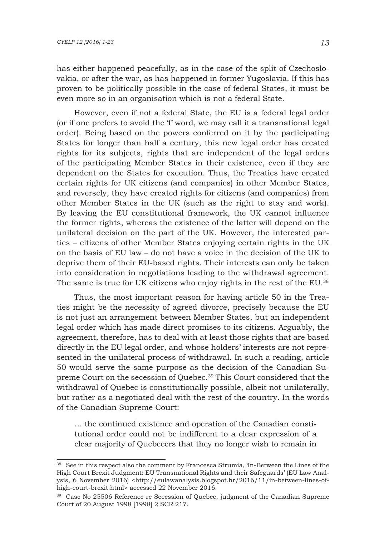has either happened peacefully, as in the case of the split of Czechoslovakia, or after the war, as has happened in former Yugoslavia. If this has proven to be politically possible in the case of federal States, it must be even more so in an organisation which is not a federal State.

However, even if not a federal State, the EU is a federal legal order (or if one prefers to avoid the 'f' word, we may call it a transnational legal order). Being based on the powers conferred on it by the participating States for longer than half a century, this new legal order has created rights for its subjects, rights that are independent of the legal orders of the participating Member States in their existence, even if they are dependent on the States for execution. Thus, the Treaties have created certain rights for UK citizens (and companies) in other Member States, and reversely, they have created rights for citizens (and companies) from other Member States in the UK (such as the right to stay and work). By leaving the EU constitutional framework, the UK cannot influence the former rights, whereas the existence of the latter will depend on the unilateral decision on the part of the UK. However, the interested parties – citizens of other Member States enjoying certain rights in the UK on the basis of EU law – do not have a voice in the decision of the UK to deprive them of their EU-based rights. Their interests can only be taken into consideration in negotiations leading to the withdrawal agreement. The same is true for UK citizens who enjoy rights in the rest of the EU.<sup>38</sup>

Thus, the most important reason for having article 50 in the Treaties might be the necessity of agreed divorce, precisely because the EU is not just an arrangement between Member States, but an independent legal order which has made direct promises to its citizens. Arguably, the agreement, therefore, has to deal with at least those rights that are based directly in the EU legal order, and whose holders' interests are not represented in the unilateral process of withdrawal. In such a reading, article 50 would serve the same purpose as the decision of the Canadian Supreme Court on the secession of Quebec.39 This Court considered that the withdrawal of Quebec is constitutionally possible, albeit not unilaterally, but rather as a negotiated deal with the rest of the country. In the words of the Canadian Supreme Court:

… the continued existence and operation of the Canadian constitutional order could not be indifferent to a clear expression of a clear majority of Quebecers that they no longer wish to remain in

<sup>38</sup> See in this respect also the comment by Francesca Strumia, 'In-Between the Lines of the High Court Brexit Judgment: EU Transnational Rights and their Safeguards' (EU Law Analysis, 6 November 2016) <http://eulawanalysis.blogspot.hr/2016/11/in-between-lines-ofhigh-court-brexit.html> accessed 22 November 2016.

<sup>39</sup> Case No 25506 Reference re Secession of Quebec, judgment of the Canadian Supreme Court of 20 August 1998 [1998] 2 SCR 217.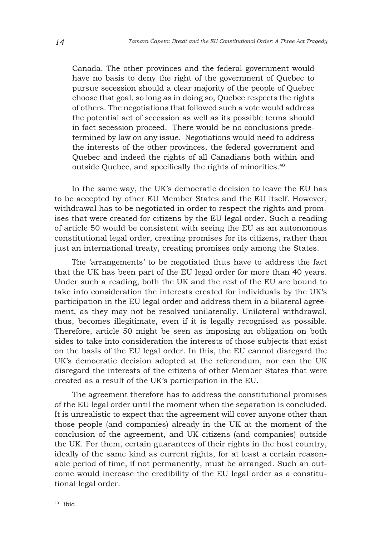Canada. The other provinces and the federal government would have no basis to deny the right of the government of Quebec to pursue secession should a clear majority of the people of Quebec choose that goal, so long as in doing so, Quebec respects the rights of others. The negotiations that followed such a vote would address the potential act of secession as well as its possible terms should in fact secession proceed. There would be no conclusions predetermined by law on any issue. Negotiations would need to address the interests of the other provinces, the federal government and Quebec and indeed the rights of all Canadians both within and outside Quebec, and specifically the rights of minorities.<sup>40</sup>

In the same way, the UK's democratic decision to leave the EU has to be accepted by other EU Member States and the EU itself. However, withdrawal has to be negotiated in order to respect the rights and promises that were created for citizens by the EU legal order. Such a reading of article 50 would be consistent with seeing the EU as an autonomous constitutional legal order, creating promises for its citizens, rather than just an international treaty, creating promises only among the States.

The 'arrangements' to be negotiated thus have to address the fact that the UK has been part of the EU legal order for more than 40 years. Under such a reading, both the UK and the rest of the EU are bound to take into consideration the interests created for individuals by the UK's participation in the EU legal order and address them in a bilateral agreement, as they may not be resolved unilaterally. Unilateral withdrawal, thus, becomes illegitimate, even if it is legally recognised as possible. Therefore, article 50 might be seen as imposing an obligation on both sides to take into consideration the interests of those subjects that exist on the basis of the EU legal order. In this, the EU cannot disregard the UK's democratic decision adopted at the referendum, nor can the UK disregard the interests of the citizens of other Member States that were created as a result of the UK's participation in the EU.

The agreement therefore has to address the constitutional promises of the EU legal order until the moment when the separation is concluded. It is unrealistic to expect that the agreement will cover anyone other than those people (and companies) already in the UK at the moment of the conclusion of the agreement, and UK citizens (and companies) outside the UK. For them, certain guarantees of their rights in the host country, ideally of the same kind as current rights, for at least a certain reasonable period of time, if not permanently, must be arranged. Such an outcome would increase the credibility of the EU legal order as a constitutional legal order.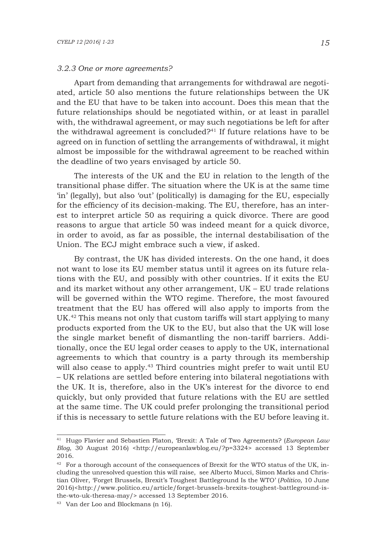#### *3.2.3 One or more agreements?*

Apart from demanding that arrangements for withdrawal are negotiated, article 50 also mentions the future relationships between the UK and the EU that have to be taken into account. Does this mean that the future relationships should be negotiated within, or at least in parallel with, the withdrawal agreement, or may such negotiations be left for after the withdrawal agreement is concluded? $41$  If future relations have to be agreed on in function of settling the arrangements of withdrawal, it might almost be impossible for the withdrawal agreement to be reached within the deadline of two years envisaged by article 50.

The interests of the UK and the EU in relation to the length of the transitional phase differ. The situation where the UK is at the same time 'in' (legally), but also 'out' (politically) is damaging for the EU, especially for the efficiency of its decision-making. The EU, therefore, has an interest to interpret article 50 as requiring a quick divorce. There are good reasons to argue that article 50 was indeed meant for a quick divorce, in order to avoid, as far as possible, the internal destabilisation of the Union. The ECJ might embrace such a view, if asked.

By contrast, the UK has divided interests. On the one hand, it does not want to lose its EU member status until it agrees on its future relations with the EU, and possibly with other countries. If it exits the EU and its market without any other arrangement, UK – EU trade relations will be governed within the WTO regime. Therefore, the most favoured treatment that the EU has offered will also apply to imports from the UK.<sup>42</sup> This means not only that custom tariffs will start applying to many products exported from the UK to the EU, but also that the UK will lose the single market benefit of dismantling the non-tariff barriers. Additionally, once the EU legal order ceases to apply to the UK, international agreements to which that country is a party through its membership will also cease to apply.<sup>43</sup> Third countries might prefer to wait until EU – UK relations are settled before entering into bilateral negotiations with the UK. It is, therefore, also in the UK's interest for the divorce to end quickly, but only provided that future relations with the EU are settled at the same time. The UK could prefer prolonging the transitional period if this is necessary to settle future relations with the EU before leaving it.

<sup>41</sup> Hugo Flavier and Sebastien Platon, 'Brexit: A Tale of Two Agreements? (*European Law Blog*, 30 August 2016) <http://europeanlawblog.eu/?p=3324> accessed 13 September 2016.

 $42$  For a thorough account of the consequences of Brexit for the WTO status of the UK, including the unresolved question this will raise, see Alberto Mucci, Simon Marks and Christian Oliver, 'Forget Brussels, Brexit's Toughest Battleground Is the WTO' (*Politico*, 10 June 2016)<http://www.politico.eu/article/forget-brussels-brexits-toughest-battleground-isthe-wto-uk-theresa-may/> accessed 13 September 2016.

<sup>43</sup> Van der Loo and Blockmans (n 16).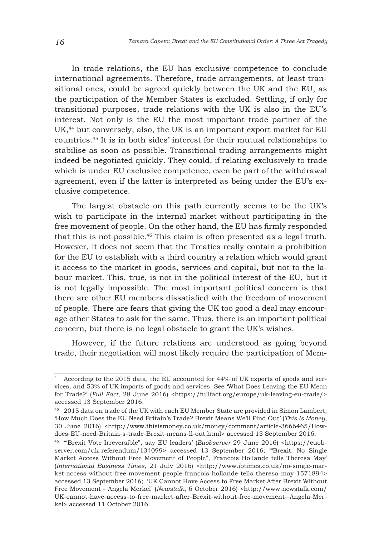In trade relations, the EU has exclusive competence to conclude international agreements. Therefore, trade arrangements, at least transitional ones, could be agreed quickly between the UK and the EU, as the participation of the Member States is excluded. Settling, if only for transitional purposes, trade relations with the UK is also in the EU's interest. Not only is the EU the most important trade partner of the UK,<sup>44</sup> but conversely, also, the UK is an important export market for EU countries.45 It is in both sides' interest for their mutual relationships to stabilise as soon as possible. Transitional trading arrangements might indeed be negotiated quickly. They could, if relating exclusively to trade which is under EU exclusive competence, even be part of the withdrawal agreement, even if the latter is interpreted as being under the EU's exclusive competence.

The largest obstacle on this path currently seems to be the UK's wish to participate in the internal market without participating in the free movement of people. On the other hand, the EU has firmly responded that this is not possible.46 This claim is often presented as a legal truth. However, it does not seem that the Treaties really contain a prohibition for the EU to establish with a third country a relation which would grant it access to the market in goods, services and capital, but not to the labour market. This, true, is not in the political interest of the EU, but it is not legally impossible. The most important political concern is that there are other EU members dissatisfied with the freedom of movement of people. There are fears that giving the UK too good a deal may encourage other States to ask for the same. Thus, there is an important political concern, but there is no legal obstacle to grant the UK's wishes.

However, if the future relations are understood as going beyond trade, their negotiation will most likely require the participation of Mem-

<sup>44</sup> According to the 2015 data, the EU accounted for 44% of UK exports of goods and services, and 53% of UK imports of goods and services. See 'What Does Leaving the EU Mean for Trade?' (*Full Fact*, 28 June 2016) <https://fullfact.org/europe/uk-leaving-eu-trade/> accessed 13 September 2016.

<sup>45</sup> 2015 data on trade of the UK with each EU Member State are provided in Simon Lambert, 'How Much Does the EU Need Britain's Trade? Brexit Means We'll Find Out' (*This Is Money*, 30 June 2016) <http://www.thisismoney.co.uk/money/comment/article-3666465/Howdoes-EU-need-Britain-s-trade-Brexit-means-ll-out.html> accessed 13 September 2016.

<sup>46</sup> '"Brexit Vote Irreversible", say EU leaders' (*Euobserver* 29 June 2016) <https://euobserver.com/uk-referendum/134099> accessed 13 September 2016; '"Brexit: No Single Market Access Without Free Movement of People", Francois Hollande tells Theresa May' (*International Business Times*, 21 July 2016) <http://www.ibtimes.co.uk/no-single-market-access-without-free-movement-people-francois-hollande-tells-theresa-may-1571894> accessed 13 September 2016; 'UK Cannot Have Access to Free Market After Brexit Without Free Movement - Angela Merkel' (*Newstalk*, 6 October 2016) <http://www.newstalk.com/ UK-cannot-have-access-to-free-market-after-Brexit-without-free-movement--Angela-Merkel> accessed 11 October 2016.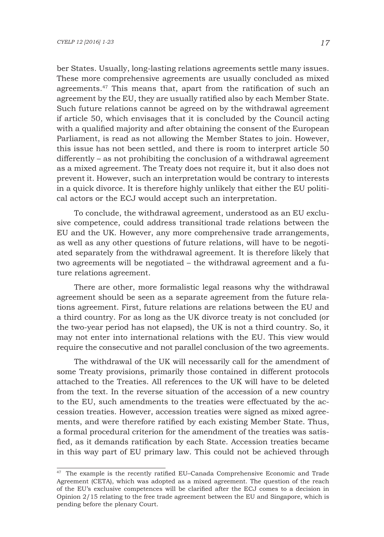ber States. Usually, long-lasting relations agreements settle many issues. These more comprehensive agreements are usually concluded as mixed agreements.47 This means that, apart from the ratification of such an agreement by the EU, they are usually ratified also by each Member State. Such future relations cannot be agreed on by the withdrawal agreement if article 50, which envisages that it is concluded by the Council acting with a qualified majority and after obtaining the consent of the European Parliament, is read as not allowing the Member States to join. However, this issue has not been settled, and there is room to interpret article 50 differently – as not prohibiting the conclusion of a withdrawal agreement as a mixed agreement. The Treaty does not require it, but it also does not prevent it. However, such an interpretation would be contrary to interests in a quick divorce. It is therefore highly unlikely that either the EU political actors or the ECJ would accept such an interpretation.

To conclude, the withdrawal agreement, understood as an EU exclusive competence, could address transitional trade relations between the EU and the UK. However, any more comprehensive trade arrangements, as well as any other questions of future relations, will have to be negotiated separately from the withdrawal agreement. It is therefore likely that two agreements will be negotiated – the withdrawal agreement and a future relations agreement.

There are other, more formalistic legal reasons why the withdrawal agreement should be seen as a separate agreement from the future relations agreement. First, future relations are relations between the EU and a third country. For as long as the UK divorce treaty is not concluded (or the two-year period has not elapsed), the UK is not a third country. So, it may not enter into international relations with the EU. This view would require the consecutive and not parallel conclusion of the two agreements.

The withdrawal of the UK will necessarily call for the amendment of some Treaty provisions, primarily those contained in different protocols attached to the Treaties. All references to the UK will have to be deleted from the text. In the reverse situation of the accession of a new country to the EU, such amendments to the treaties were effectuated by the accession treaties. However, accession treaties were signed as mixed agreements, and were therefore ratified by each existing Member State. Thus, a formal procedural criterion for the amendment of the treaties was satisfied, as it demands ratification by each State. Accession treaties became in this way part of EU primary law. This could not be achieved through

<sup>47</sup> The example is the recently ratified EU–Canada Comprehensive Economic and Trade Agreement (CETA), which was adopted as a mixed agreement. The question of the reach of the EU's exclusive competences will be clarified after the ECJ comes to a decision in Opinion 2/15 relating to the free trade agreement between the EU and Singapore, which is pending before the plenary Court.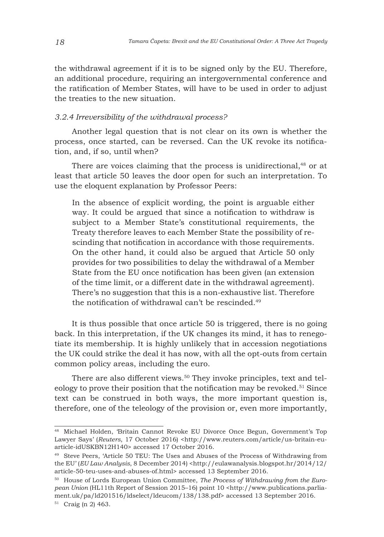the withdrawal agreement if it is to be signed only by the EU. Therefore, an additional procedure, requiring an intergovernmental conference and the ratification of Member States, will have to be used in order to adjust the treaties to the new situation.

## *3.2.4 Irreversibility of the withdrawal process?*

Another legal question that is not clear on its own is whether the process, once started, can be reversed. Can the UK revoke its notification, and, if so, until when?

There are voices claiming that the process is unidirectional,<sup>48</sup> or at least that article 50 leaves the door open for such an interpretation. To use the eloquent explanation by Professor Peers:

In the absence of explicit wording, the point is arguable either way. It could be argued that since a notification to withdraw is subject to a Member State's constitutional requirements, the Treaty therefore leaves to each Member State the possibility of rescinding that notification in accordance with those requirements. On the other hand, it could also be argued that Article 50 only provides for two possibilities to delay the withdrawal of a Member State from the EU once notification has been given (an extension of the time limit, or a different date in the withdrawal agreement). There's no suggestion that this is a non-exhaustive list. Therefore the notification of withdrawal can't be rescinded.49

It is thus possible that once article 50 is triggered, there is no going back. In this interpretation, if the UK changes its mind, it has to renegotiate its membership. It is highly unlikely that in accession negotiations the UK could strike the deal it has now, with all the opt-outs from certain common policy areas, including the euro.

There are also different views.<sup>50</sup> They invoke principles, text and teleology to prove their position that the notification may be revoked.<sup>51</sup> Since text can be construed in both ways, the more important question is, therefore, one of the teleology of the provision or, even more importantly,

<sup>48</sup> Michael Holden, 'Britain Cannot Revoke EU Divorce Once Begun, Government's Top Lawyer Says' (*Reuters*, 17 October 2016) <http://www.reuters.com/article/us-britain-euarticle-idUSKBN12H140> accessed 17 October 2016.

<sup>&</sup>lt;sup>49</sup> Steve Peers, 'Article 50 TEU: The Uses and Abuses of the Process of Withdrawing from the EU' (*EU Law Analysis*, 8 December 2014) <http://eulawanalysis.blogspot.hr/2014/12/ article-50-teu-uses-and-abuses-of.html> accessed 13 September 2016.

<sup>50</sup> House of Lords European Union Committee, *The Process of Withdrawing from the European Union* (HL11th Report of Session 2015–16) point 10 <http://www.publications.parliament.uk/pa/ld201516/ldselect/ldeucom/138/138.pdf> accessed 13 September 2016. <sup>51</sup> Craig (n 2) 463.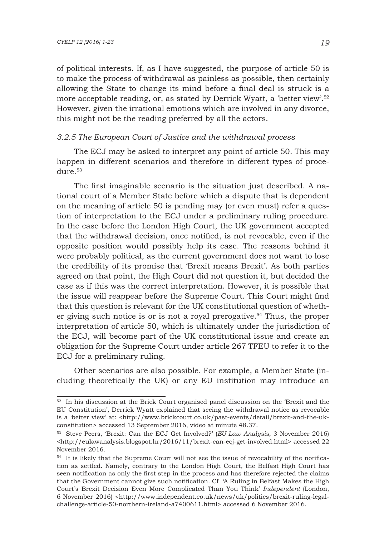of political interests. If, as I have suggested, the purpose of article 50 is to make the process of withdrawal as painless as possible, then certainly allowing the State to change its mind before a final deal is struck is a more acceptable reading, or, as stated by Derrick Wyatt, a 'better view'.52 However, given the irrational emotions which are involved in any divorce, this might not be the reading preferred by all the actors.

## *3.2.5 The European Court of Justice and the withdrawal process*

The ECJ may be asked to interpret any point of article 50. This may happen in different scenarios and therefore in different types of procedure.<sup>53</sup>

The first imaginable scenario is the situation just described. A national court of a Member State before which a dispute that is dependent on the meaning of article 50 is pending may (or even must) refer a question of interpretation to the ECJ under a preliminary ruling procedure. In the case before the London High Court, the UK government accepted that the withdrawal decision, once notified, is not revocable, even if the opposite position would possibly help its case. The reasons behind it were probably political, as the current government does not want to lose the credibility of its promise that 'Brexit means Brexit'. As both parties agreed on that point, the High Court did not question it, but decided the case as if this was the correct interpretation. However, it is possible that the issue will reappear before the Supreme Court. This Court might find that this question is relevant for the UK constitutional question of whether giving such notice is or is not a royal prerogative.54 Thus, the proper interpretation of article 50, which is ultimately under the jurisdiction of the ECJ, will become part of the UK constitutional issue and create an obligation for the Supreme Court under article 267 TFEU to refer it to the ECJ for a preliminary ruling.

Other scenarios are also possible. For example, a Member State (including theoretically the UK) or any EU institution may introduce an

<sup>&</sup>lt;sup>52</sup> In his discussion at the Brick Court organised panel discussion on the 'Brexit and the EU Constitution', Derrick Wyatt explained that seeing the withdrawal notice as revocable is a 'better view' at: <http://www.brickcourt.co.uk/past-events/detail/brexit-and-the-ukconstitution> accessed 13 September 2016, video at minute 48.37.

<sup>53</sup> Steve Peers, 'Brexit: Can the ECJ Get Involved?' (*EU Law Analysis*, 3 November 2016) <http://eulawanalysis.blogspot.hr/2016/11/brexit-can-ecj-get-involved.html> accessed 22 November 2016.

<sup>&</sup>lt;sup>54</sup> It is likely that the Supreme Court will not see the issue of revocability of the notification as settled. Namely, contrary to the London High Court, the Belfast High Court has seen notification as only the first step in the process and has therefore rejected the claims that the Government cannot give such notification. Cf 'A Ruling in Belfast Makes the High Court's Brexit Decision Even More Complicated Than You Think' *Independent* (London, 6 November 2016) <http://www.independent.co.uk/news/uk/politics/brexit-ruling-legalchallenge-article-50-northern-ireland-a7400611.html> accessed 6 November 2016.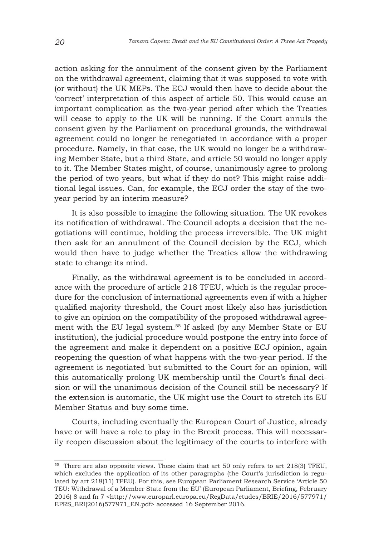action asking for the annulment of the consent given by the Parliament on the withdrawal agreement, claiming that it was supposed to vote with (or without) the UK MEPs. The ECJ would then have to decide about the 'correct' interpretation of this aspect of article 50. This would cause an important complication as the two-year period after which the Treaties will cease to apply to the UK will be running. If the Court annuls the consent given by the Parliament on procedural grounds, the withdrawal agreement could no longer be renegotiated in accordance with a proper procedure. Namely, in that case, the UK would no longer be a withdrawing Member State, but a third State, and article 50 would no longer apply to it. The Member States might, of course, unanimously agree to prolong the period of two years, but what if they do not? This might raise additional legal issues. Can, for example, the ECJ order the stay of the twoyear period by an interim measure?

It is also possible to imagine the following situation. The UK revokes its notification of withdrawal. The Council adopts a decision that the negotiations will continue, holding the process irreversible. The UK might then ask for an annulment of the Council decision by the ECJ, which would then have to judge whether the Treaties allow the withdrawing state to change its mind.

Finally, as the withdrawal agreement is to be concluded in accordance with the procedure of article 218 TFEU, which is the regular procedure for the conclusion of international agreements even if with a higher qualified majority threshold, the Court most likely also has jurisdiction to give an opinion on the compatibility of the proposed withdrawal agreement with the EU legal system.55 If asked (by any Member State or EU institution), the judicial procedure would postpone the entry into force of the agreement and make it dependent on a positive ECJ opinion, again reopening the question of what happens with the two-year period. If the agreement is negotiated but submitted to the Court for an opinion, will this automatically prolong UK membership until the Court's final decision or will the unanimous decision of the Council still be necessary? If the extension is automatic, the UK might use the Court to stretch its EU Member Status and buy some time.

Courts, including eventually the European Court of Justice, already have or will have a role to play in the Brexit process. This will necessarily reopen discussion about the legitimacy of the courts to interfere with

<sup>55</sup> There are also opposite views. These claim that art 50 only refers to art 218(3) TFEU, which excludes the application of its other paragraphs (the Court's jurisdiction is regulated by art 218(11) TFEU). For this, see European Parliament Research Service 'Article 50 TEU: Withdrawal of a Member State from the EU' (European Parliament, Briefing, February 2016) 8 and fn 7 <http://www.europarl.europa.eu/RegData/etudes/BRIE/2016/577971/ EPRS\_BRI(2016)577971\_EN.pdf> accessed 16 September 2016.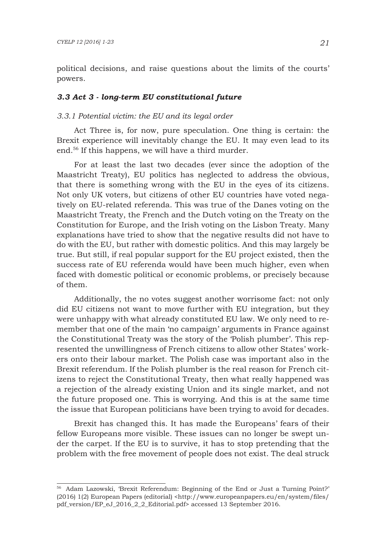political decisions, and raise questions about the limits of the courts' powers.

## *3.3 Act 3 - long-term EU constitutional future*

#### *3.3.1 Potential victim: the EU and its legal order*

Act Three is, for now, pure speculation. One thing is certain: the Brexit experience will inevitably change the EU. It may even lead to its end.56 If this happens, we will have a third murder.

For at least the last two decades (ever since the adoption of the Maastricht Treaty), EU politics has neglected to address the obvious, that there is something wrong with the EU in the eyes of its citizens. Not only UK voters, but citizens of other EU countries have voted negatively on EU-related referenda. This was true of the Danes voting on the Maastricht Treaty, the French and the Dutch voting on the Treaty on the Constitution for Europe, and the Irish voting on the Lisbon Treaty. Many explanations have tried to show that the negative results did not have to do with the EU, but rather with domestic politics. And this may largely be true. But still, if real popular support for the EU project existed, then the success rate of EU referenda would have been much higher, even when faced with domestic political or economic problems, or precisely because of them.

Additionally, the no votes suggest another worrisome fact: not only did EU citizens not want to move further with EU integration, but they were unhappy with what already constituted EU law. We only need to remember that one of the main 'no campaign' arguments in France against the Constitutional Treaty was the story of the 'Polish plumber'. This represented the unwillingness of French citizens to allow other States' workers onto their labour market. The Polish case was important also in the Brexit referendum. If the Polish plumber is the real reason for French citizens to reject the Constitutional Treaty, then what really happened was a rejection of the already existing Union and its single market, and not the future proposed one. This is worrying. And this is at the same time the issue that European politicians have been trying to avoid for decades.

Brexit has changed this. It has made the Europeans' fears of their fellow Europeans more visible. These issues can no longer be swept under the carpet. If the EU is to survive, it has to stop pretending that the problem with the free movement of people does not exist. The deal struck

<sup>56</sup> Adam Lazowski, 'Brexit Referendum: Beginning of the End or Just a Turning Point?' (2016) 1(2) European Papers (editorial) <http://www.europeanpapers.eu/en/system/files/ pdf\_version/EP\_eJ\_2016\_2\_2\_Editorial.pdf> accessed 13 September 2016.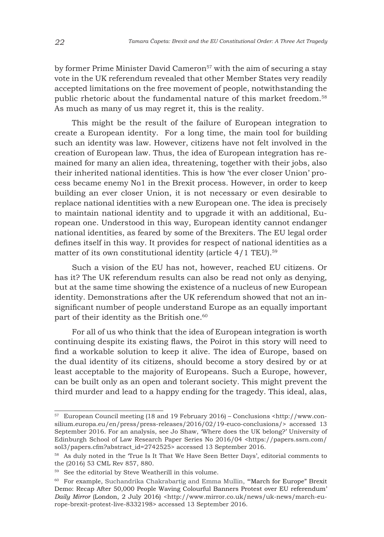by former Prime Minister David Cameron<sup>57</sup> with the aim of securing a stay vote in the UK referendum revealed that other Member States very readily accepted limitations on the free movement of people, notwithstanding the public rhetoric about the fundamental nature of this market freedom.<sup>58</sup> As much as many of us may regret it, this is the reality.

This might be the result of the failure of European integration to create a European identity. For a long time, the main tool for building such an identity was law. However, citizens have not felt involved in the creation of European law. Thus, the idea of European integration has remained for many an alien idea, threatening, together with their jobs, also their inherited national identities. This is how 'the ever closer Union' process became enemy No1 in the Brexit process. However, in order to keep building an ever closer Union, it is not necessary or even desirable to replace national identities with a new European one. The idea is precisely to maintain national identity and to upgrade it with an additional, European one. Understood in this way, European identity cannot endanger national identities, as feared by some of the Brexiters. The EU legal order defines itself in this way. It provides for respect of national identities as a matter of its own constitutional identity (article 4/1 TEU).<sup>59</sup>

Such a vision of the EU has not, however, reached EU citizens. Or has it? The UK referendum results can also be read not only as denying, but at the same time showing the existence of a nucleus of new European identity. Demonstrations after the UK referendum showed that not an insignificant number of people understand Europe as an equally important part of their identity as the British one.<sup>60</sup>

For all of us who think that the idea of European integration is worth continuing despite its existing flaws, the Poirot in this story will need to find a workable solution to keep it alive. The idea of Europe, based on the dual identity of its citizens, should become a story desired by or at least acceptable to the majority of Europeans. Such a Europe, however, can be built only as an open and tolerant society. This might prevent the third murder and lead to a happy ending for the tragedy. This ideal, alas,

<sup>57</sup> European Council meeting (18 and 19 February 2016) – Conclusions <http://www.consilium.europa.eu/en/press/press-releases/2016/02/19-euco-conclusions/> accessed 13 September 2016. For an analysis, see Jo Shaw, 'Where does the UK belong?' University of Edinburgh School of Law Research Paper Series No 2016/04 <https://papers.ssrn.com/ sol3/papers.cfm?abstract\_id=2742525> accessed 13 September 2016.

<sup>&</sup>lt;sup>58</sup> As duly noted in the 'True Is It That We Have Seen Better Days', editorial comments to the (2016) 53 CML Rev 857, 880.

<sup>59</sup> See the editorial by Steve Weatherill in this volume.

<sup>60</sup> For example, Suchandrika Chakrabartig and Emma Mullin, '"March for Europe" Brexit Demo: Recap After 50,000 People Waving Colourful Banners Protest over EU referendum' *Daily Mirror* (London, 2 July 2016) <http://www.mirror.co.uk/news/uk-news/march-europe-brexit-protest-live-8332198> accessed 13 September 2016.